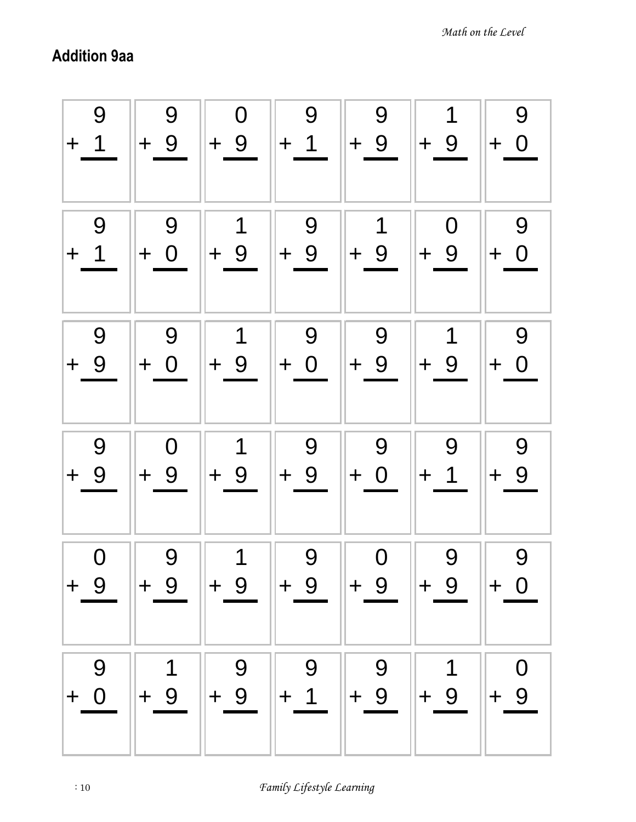## Addition 9aa

| 9<br>$\overline{1}$<br>$+$ | 9<br>$+9$              | $\mathbf 0$<br>$+9$ | 9<br>$+1$  | 9<br>$+9$   | 1<br>$+9$   | 9<br>$+ 0$    |
|----------------------------|------------------------|---------------------|------------|-------------|-------------|---------------|
| 9                          | 9                      | 1                   | 9          | 1           | $\mathbf 0$ | 9             |
| $+$ 1                      | $+ 0$                  | $+9$                | $+9$       | $+9$        | $+9$        | $+ 0$         |
| 9                          | 9                      | 1                   | 9          | 9           | 1           | 9             |
| $+9$                       | $+ 0$                  | $+9$                | $+ 0$      | $+9$        | $+9$        | $+ 0$         |
| 9<br>$+9$                  | $\overline{0}$<br>$+9$ | 1<br>$+9$           | 9<br>$+9$  | 9<br>$+ 0$  | 9<br>$+ 1$  | 9<br>9<br>$+$ |
| $\overline{0}$             | 9                      | 1                   | 9          | $\mathbf 0$ | 9           | 9             |
| $+ 9$                      | $+9$                   | $\parallel + 9$     | $+9$       | $+9$        | $ + 9$      | $+ 0$         |
| 9<br>$+ 0$                 | $+9$                   | 9<br>$+9$           | 9<br>$+ 1$ | 9<br>$+9$   | 1<br>$+9$   | $+9$          |